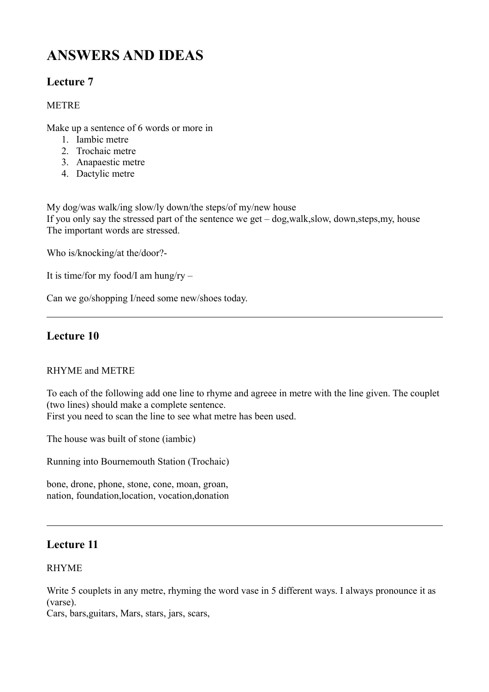# **ANSWERS AND IDEAS**

# **Lecture 7**

### **METRE**

Make up a sentence of 6 words or more in

- 1. Iambic metre
- 2. Trochaic metre
- 3. Anapaestic metre
- 4. Dactylic metre

My dog/was walk/ing slow/ly down/the steps/of my/new house If you only say the stressed part of the sentence we get – dog,walk,slow, down,steps,my, house The important words are stressed.

Who is/knocking/at the/door?-

It is time/for my food/I am hung/ry  $-$ 

Can we go/shopping I/need some new/shoes today.

# **Lecture 10**

#### RHYME and METRE

To each of the following add one line to rhyme and agreee in metre with the line given. The couplet (two lines) should make a complete sentence. First you need to scan the line to see what metre has been used.

The house was built of stone (iambic)

Running into Bournemouth Station (Trochaic)

bone, drone, phone, stone, cone, moan, groan, nation, foundation,location, vocation,donation

# **Lecture 11**

#### RHYME

Write 5 couplets in any metre, rhyming the word vase in 5 different ways. I always pronounce it as (varse).

Cars, bars,guitars, Mars, stars, jars, scars,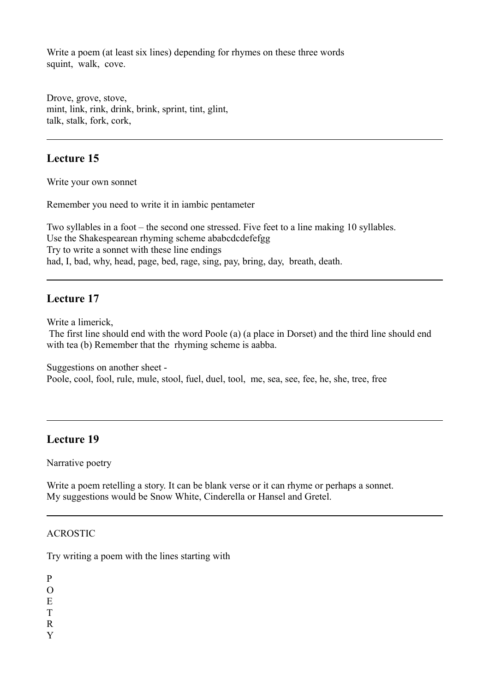Write a poem (at least six lines) depending for rhymes on these three words squint, walk, cove.

Drove, grove, stove, mint, link, rink, drink, brink, sprint, tint, glint, talk, stalk, fork, cork,

## **Lecture 15**

Write your own sonnet

Remember you need to write it in iambic pentameter

Two syllables in a foot – the second one stressed. Five feet to a line making 10 syllables. Use the Shakespearean rhyming scheme ababcdcdefefgg Try to write a sonnet with these line endings had, I, bad, why, head, page, bed, rage, sing, pay, bring, day, breath, death.

## **Lecture 17**

Write a limerick,

 The first line should end with the word Poole (a) (a place in Dorset) and the third line should end with tea (b) Remember that the rhyming scheme is aabba.

Suggestions on another sheet - Poole, cool, fool, rule, mule, stool, fuel, duel, tool, me, sea, see, fee, he, she, tree, free

## **Lecture 19**

Narrative poetry

Write a poem retelling a story. It can be blank verse or it can rhyme or perhaps a sonnet. My suggestions would be Snow White, Cinderella or Hansel and Gretel.

#### ACROSTIC

Try writing a poem with the lines starting with

P

- $\Omega$
- E
- T
- R
- Y